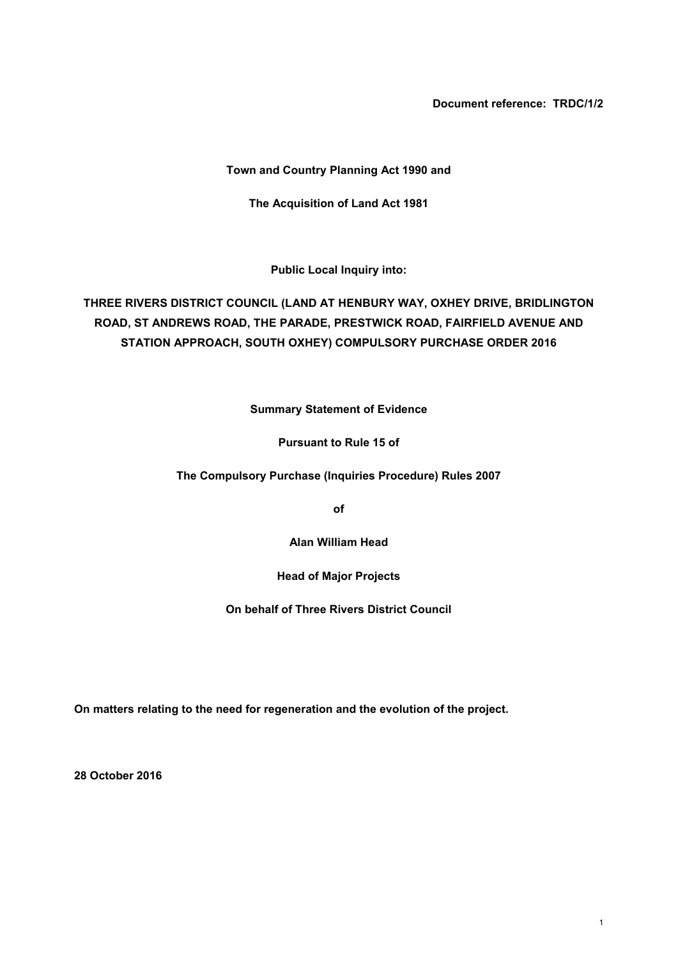**Document reference: TRDC/1/2**

## **Town and Country Planning Act 1990 and**

**The Acquisition of Land Act 1981**

**Public Local Inquiry into:**

# **THREE RIVERS DISTRICT COUNCIL (LAND AT HENBURY WAY, OXHEY DRIVE, BRIDLINGTON ROAD, ST ANDREWS ROAD, THE PARADE, PRESTWICK ROAD, FAIRFIELD AVENUE AND STATION APPROACH, SOUTH OXHEY) COMPULSORY PURCHASE ORDER 2016**

**Summary Statement of Evidence**

**Pursuant to Rule 15 of**

**The Compulsory Purchase (Inquiries Procedure) Rules 2007**

**of**

**Alan William Head**

**Head of Major Projects**

**On behalf of Three Rivers District Council**

**On matters relating to the need for regeneration and the evolution of the project.**

**28 October 2016**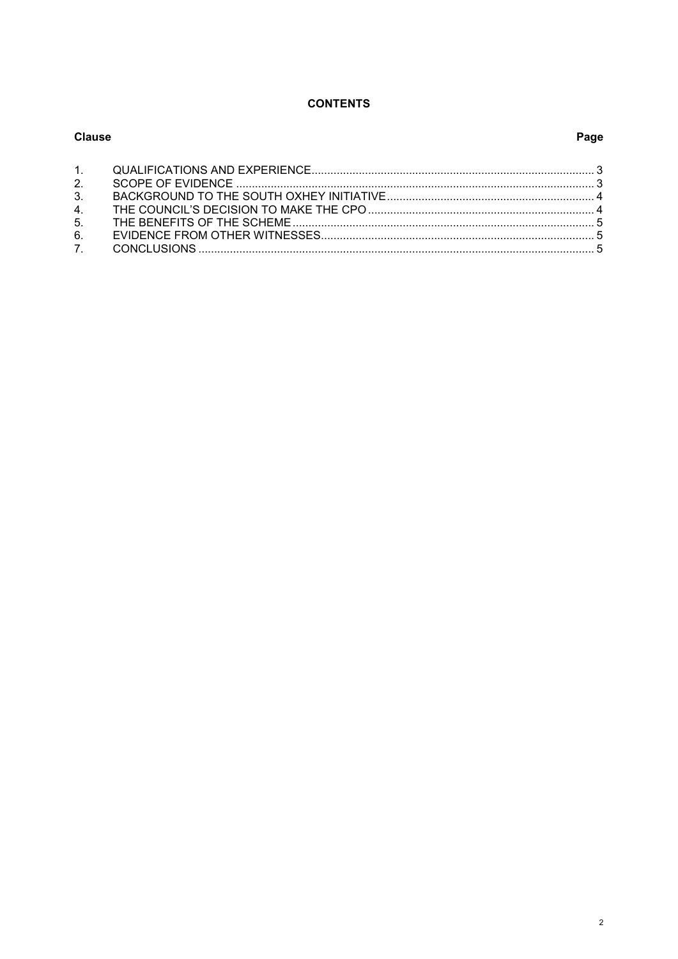#### **CONTENTS**

| Clause |  | Page |
|--------|--|------|
|        |  |      |
| 2.     |  |      |
| 3.     |  |      |
|        |  |      |
|        |  |      |
| 6.     |  |      |
|        |  |      |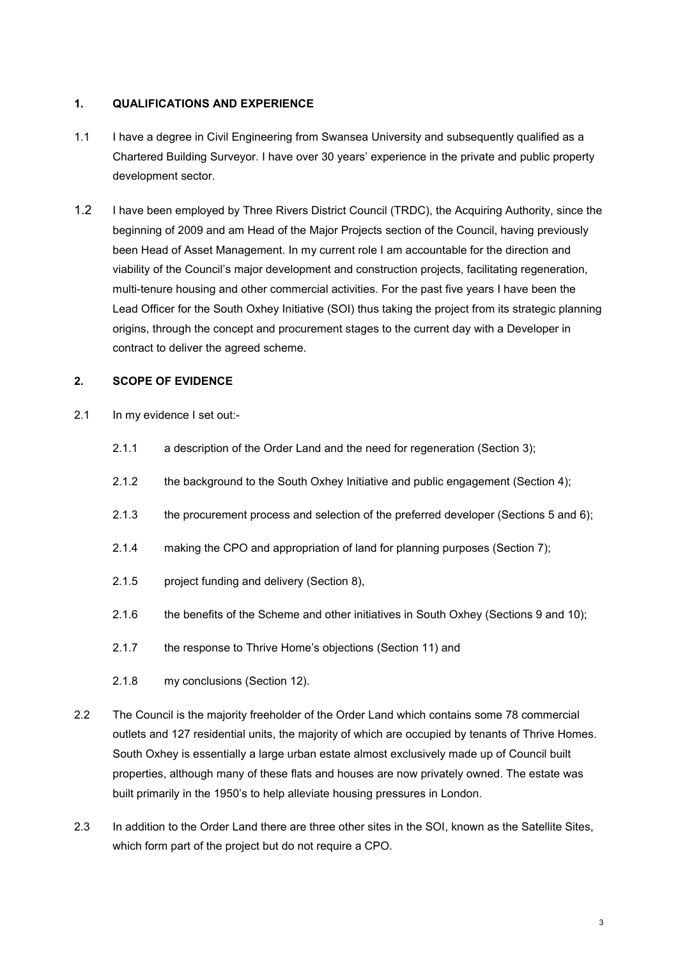# <span id="page-2-0"></span>**1. QUALIFICATIONS AND EXPERIENCE**

- 1.1 I have a degree in Civil Engineering from Swansea University and subsequently qualified as a Chartered Building Surveyor. I have over 30 years' experience in the private and public property development sector.
- 1.2 I have been employed by Three Rivers District Council (TRDC), the Acquiring Authority, since the beginning of 2009 and am Head of the Major Projects section of the Council, having previously been Head of Asset Management. In my current role I am accountable for the direction and viability of the Council's major development and construction projects, facilitating regeneration, multi-tenure housing and other commercial activities. For the past five years I have been the Lead Officer for the South Oxhey Initiative (SOI) thus taking the project from its strategic planning origins, through the concept and procurement stages to the current day with a Developer in contract to deliver the agreed scheme.

# <span id="page-2-1"></span>**2. SCOPE OF EVIDENCE**

- 2.1 In my evidence I set out:-
	- 2.1.1 a description of the Order Land and the need for regeneration (Section 3);
	- 2.1.2 the background to the South Oxhey Initiative and public engagement (Section 4);
	- 2.1.3 the procurement process and selection of the preferred developer (Sections 5 and 6);
	- 2.1.4 making the CPO and appropriation of land for planning purposes (Section 7);
	- 2.1.5 project funding and delivery (Section 8),
	- 2.1.6 the benefits of the Scheme and other initiatives in South Oxhey (Sections 9 and 10);
	- 2.1.7 the response to Thrive Home's objections (Section 11) and
	- 2.1.8 my conclusions (Section 12).
- 2.2 The Council is the majority freeholder of the Order Land which contains some 78 commercial outlets and 127 residential units, the majority of which are occupied by tenants of Thrive Homes. South Oxhey is essentially a large urban estate almost exclusively made up of Council built properties, although many of these flats and houses are now privately owned. The estate was built primarily in the 1950's to help alleviate housing pressures in London.
- 2.3 In addition to the Order Land there are three other sites in the SOI, known as the Satellite Sites, which form part of the project but do not require a CPO.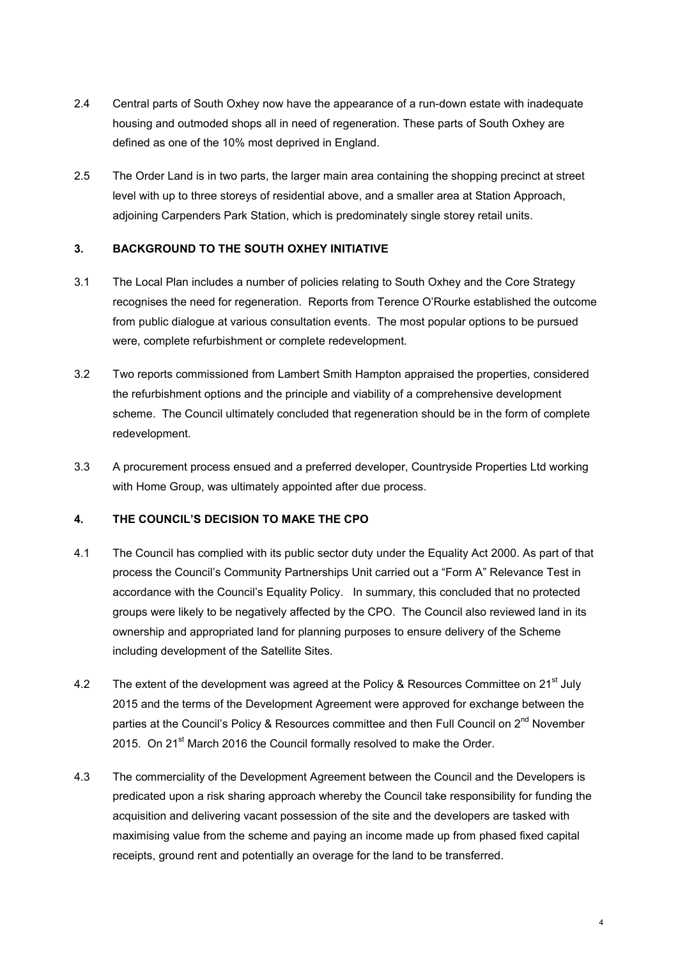- 2.4 Central parts of South Oxhey now have the appearance of a run-down estate with inadequate housing and outmoded shops all in need of regeneration. These parts of South Oxhey are defined as one of the 10% most deprived in England.
- 2.5 The Order Land is in two parts, the larger main area containing the shopping precinct at street level with up to three storeys of residential above, and a smaller area at Station Approach, adjoining Carpenders Park Station, which is predominately single storey retail units.

#### <span id="page-3-0"></span>**3. BACKGROUND TO THE SOUTH OXHEY INITIATIVE**

- 3.1 The Local Plan includes a number of policies relating to South Oxhey and the Core Strategy recognises the need for regeneration. Reports from Terence O'Rourke established the outcome from public dialogue at various consultation events. The most popular options to be pursued were, complete refurbishment or complete redevelopment.
- 3.2 Two reports commissioned from Lambert Smith Hampton appraised the properties, considered the refurbishment options and the principle and viability of a comprehensive development scheme. The Council ultimately concluded that regeneration should be in the form of complete redevelopment.
- 3.3 A procurement process ensued and a preferred developer, Countryside Properties Ltd working with Home Group, was ultimately appointed after due process.

## <span id="page-3-1"></span>**4. THE COUNCIL'S DECISION TO MAKE THE CPO**

- 4.1 The Council has complied with its public sector duty under the Equality Act 2000. As part of that process the Council's Community Partnerships Unit carried out a "Form A" Relevance Test in accordance with the Council's Equality Policy. In summary, this concluded that no protected groups were likely to be negatively affected by the CPO. The Council also reviewed land in its ownership and appropriated land for planning purposes to ensure delivery of the Scheme including development of the Satellite Sites.
- 4.2 The extent of the development was agreed at the Policy & Resources Committee on 21<sup>st</sup> July 2015 and the terms of the Development Agreement were approved for exchange between the parties at the Council's Policy & Resources committee and then Full Council on 2<sup>nd</sup> November 2015. On 21<sup>st</sup> March 2016 the Council formally resolved to make the Order.
- 4.3 The commerciality of the Development Agreement between the Council and the Developers is predicated upon a risk sharing approach whereby the Council take responsibility for funding the acquisition and delivering vacant possession of the site and the developers are tasked with maximising value from the scheme and paying an income made up from phased fixed capital receipts, ground rent and potentially an overage for the land to be transferred.